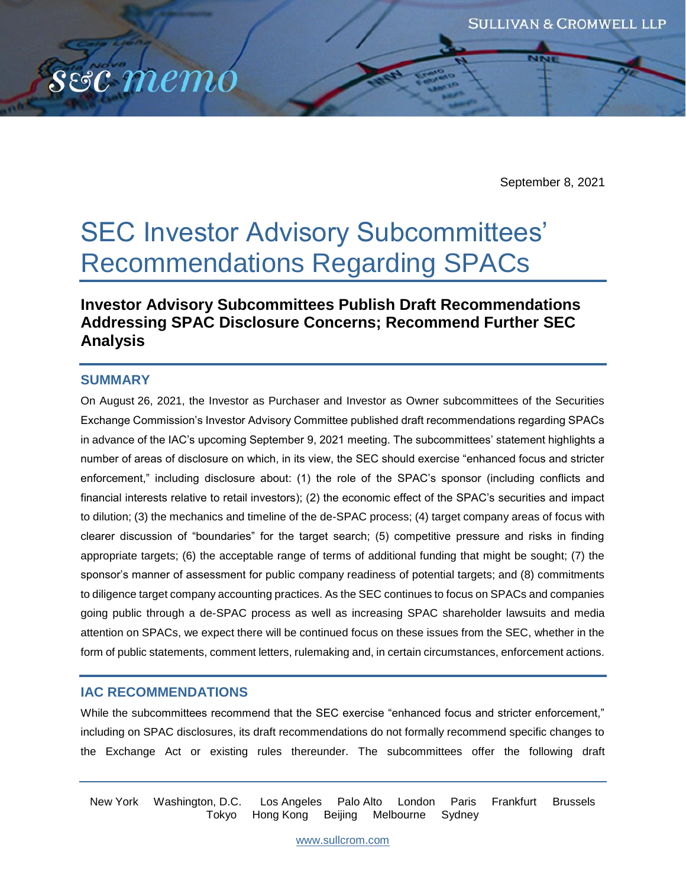

September 8, 2021

# SEC Investor Advisory Subcommittees' Recommendations Regarding SPACs

# **Investor Advisory Subcommittees Publish Draft Recommendations Addressing SPAC Disclosure Concerns; Recommend Further SEC Analysis**

## **SUMMARY**

On August 26, 2021, the Investor as Purchaser and Investor as Owner subcommittees of the Securities Exchange Commission's Investor Advisory Committee published draft recommendations regarding SPACs in advance of the IAC's upcoming September 9, 2021 meeting. The subcommittees' statement highlights a number of areas of disclosure on which, in its view, the SEC should exercise "enhanced focus and stricter enforcement," including disclosure about: (1) the role of the SPAC's sponsor (including conflicts and financial interests relative to retail investors); (2) the economic effect of the SPAC's securities and impact to dilution; (3) the mechanics and timeline of the de-SPAC process; (4) target company areas of focus with clearer discussion of "boundaries" for the target search; (5) competitive pressure and risks in finding appropriate targets; (6) the acceptable range of terms of additional funding that might be sought; (7) the sponsor's manner of assessment for public company readiness of potential targets; and (8) commitments to diligence target company accounting practices. As the SEC continues to focus on SPACs and companies going public through a de-SPAC process as well as increasing SPAC shareholder lawsuits and media attention on SPACs, we expect there will be continued focus on these issues from the SEC, whether in the form of public statements, comment letters, rulemaking and, in certain circumstances, enforcement actions.

# **IAC RECOMMENDATIONS**

While the subcommittees recommend that the SEC exercise "enhanced focus and stricter enforcement," including on SPAC disclosures, its draft recommendations do not formally recommend specific changes to the Exchange Act or existing rules thereunder. The subcommittees offer the following draft

New York Washington, D.C. Los Angeles Palo Alto London Paris Frankfurt Brussels Tokyo Hong Kong Beijing Melbourne Sydney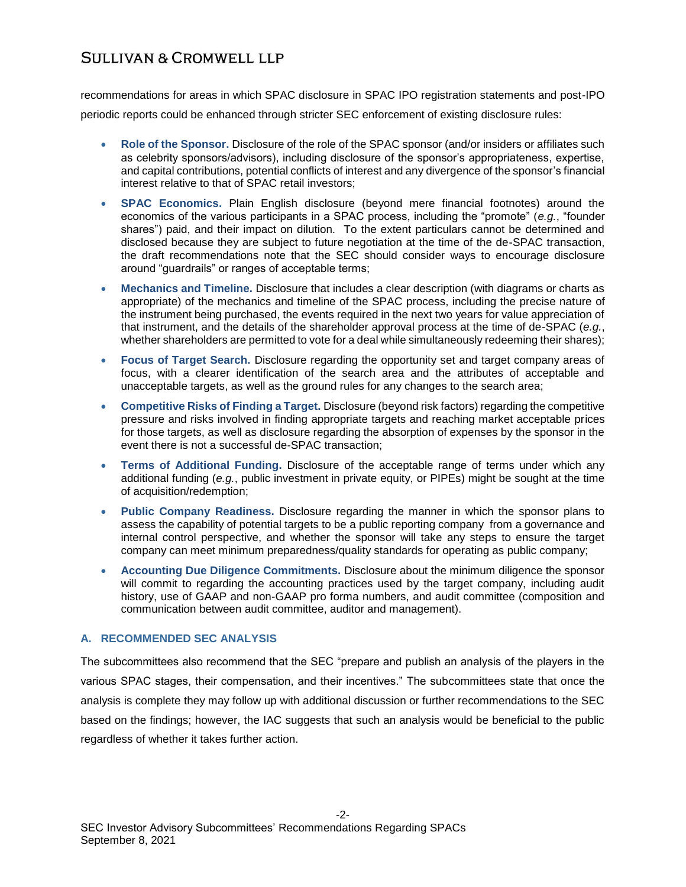recommendations for areas in which SPAC disclosure in SPAC IPO registration statements and post-IPO periodic reports could be enhanced through stricter SEC enforcement of existing disclosure rules:

- **Role of the Sponsor.** Disclosure of the role of the SPAC sponsor (and/or insiders or affiliates such as celebrity sponsors/advisors), including disclosure of the sponsor's appropriateness, expertise, and capital contributions, potential conflicts of interest and any divergence of the sponsor's financial interest relative to that of SPAC retail investors;
- **SPAC Economics.** Plain English disclosure (beyond mere financial footnotes) around the economics of the various participants in a SPAC process, including the "promote" (*e.g.*, "founder shares") paid, and their impact on dilution. To the extent particulars cannot be determined and disclosed because they are subject to future negotiation at the time of the de-SPAC transaction, the draft recommendations note that the SEC should consider ways to encourage disclosure around "guardrails" or ranges of acceptable terms;
- **Mechanics and Timeline.** Disclosure that includes a clear description (with diagrams or charts as appropriate) of the mechanics and timeline of the SPAC process, including the precise nature of the instrument being purchased, the events required in the next two years for value appreciation of that instrument, and the details of the shareholder approval process at the time of de-SPAC (*e.g.*, whether shareholders are permitted to vote for a deal while simultaneously redeeming their shares);
- **Focus of Target Search.** Disclosure regarding the opportunity set and target company areas of focus, with a clearer identification of the search area and the attributes of acceptable and unacceptable targets, as well as the ground rules for any changes to the search area;
- **Competitive Risks of Finding a Target.** Disclosure (beyond risk factors) regarding the competitive pressure and risks involved in finding appropriate targets and reaching market acceptable prices for those targets, as well as disclosure regarding the absorption of expenses by the sponsor in the event there is not a successful de-SPAC transaction;
- **Terms of Additional Funding.** Disclosure of the acceptable range of terms under which any additional funding (*e.g.*, public investment in private equity, or PIPEs) might be sought at the time of acquisition/redemption;
- **Public Company Readiness.** Disclosure regarding the manner in which the sponsor plans to assess the capability of potential targets to be a public reporting company from a governance and internal control perspective, and whether the sponsor will take any steps to ensure the target company can meet minimum preparedness/quality standards for operating as public company;
- **Accounting Due Diligence Commitments.** Disclosure about the minimum diligence the sponsor will commit to regarding the accounting practices used by the target company, including audit history, use of GAAP and non-GAAP pro forma numbers, and audit committee (composition and communication between audit committee, auditor and management).

## **A. RECOMMENDED SEC ANALYSIS**

The subcommittees also recommend that the SEC "prepare and publish an analysis of the players in the various SPAC stages, their compensation, and their incentives." The subcommittees state that once the analysis is complete they may follow up with additional discussion or further recommendations to the SEC based on the findings; however, the IAC suggests that such an analysis would be beneficial to the public regardless of whether it takes further action.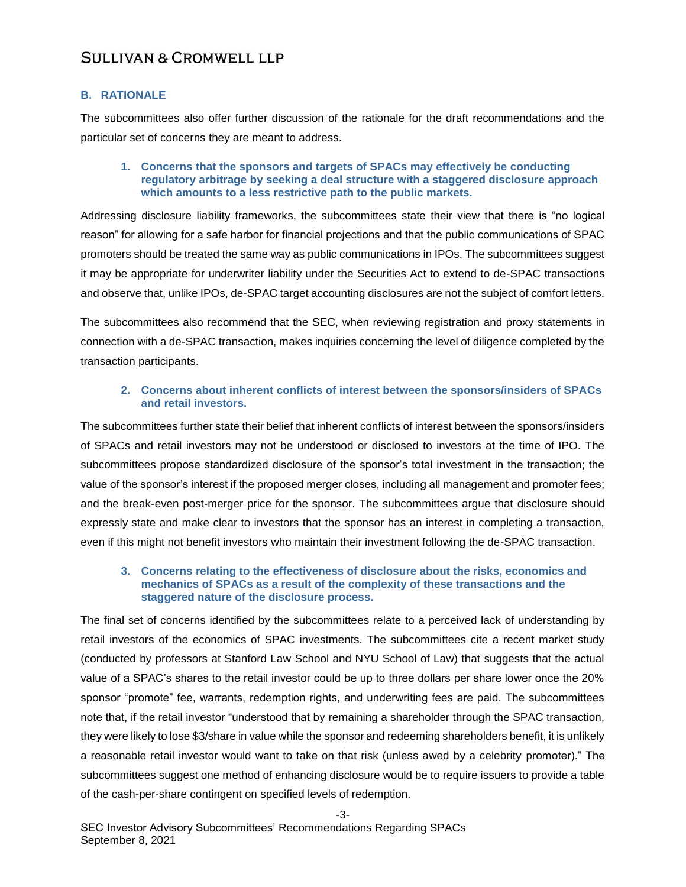## **B. RATIONALE**

The subcommittees also offer further discussion of the rationale for the draft recommendations and the particular set of concerns they are meant to address.

#### **1. Concerns that the sponsors and targets of SPACs may effectively be conducting regulatory arbitrage by seeking a deal structure with a staggered disclosure approach which amounts to a less restrictive path to the public markets.**

Addressing disclosure liability frameworks, the subcommittees state their view that there is "no logical reason" for allowing for a safe harbor for financial projections and that the public communications of SPAC promoters should be treated the same way as public communications in IPOs. The subcommittees suggest it may be appropriate for underwriter liability under the Securities Act to extend to de-SPAC transactions and observe that, unlike IPOs, de-SPAC target accounting disclosures are not the subject of comfort letters.

The subcommittees also recommend that the SEC, when reviewing registration and proxy statements in connection with a de-SPAC transaction, makes inquiries concerning the level of diligence completed by the transaction participants.

## **2. Concerns about inherent conflicts of interest between the sponsors/insiders of SPACs and retail investors.**

The subcommittees further state their belief that inherent conflicts of interest between the sponsors/insiders of SPACs and retail investors may not be understood or disclosed to investors at the time of IPO. The subcommittees propose standardized disclosure of the sponsor's total investment in the transaction; the value of the sponsor's interest if the proposed merger closes, including all management and promoter fees; and the break-even post-merger price for the sponsor. The subcommittees argue that disclosure should expressly state and make clear to investors that the sponsor has an interest in completing a transaction, even if this might not benefit investors who maintain their investment following the de-SPAC transaction.

#### **3. Concerns relating to the effectiveness of disclosure about the risks, economics and mechanics of SPACs as a result of the complexity of these transactions and the staggered nature of the disclosure process.**

The final set of concerns identified by the subcommittees relate to a perceived lack of understanding by retail investors of the economics of SPAC investments. The subcommittees cite a recent market study (conducted by professors at Stanford Law School and NYU School of Law) that suggests that the actual value of a SPAC's shares to the retail investor could be up to three dollars per share lower once the 20% sponsor "promote" fee, warrants, redemption rights, and underwriting fees are paid. The subcommittees note that, if the retail investor "understood that by remaining a shareholder through the SPAC transaction, they were likely to lose \$3/share in value while the sponsor and redeeming shareholders benefit, it is unlikely a reasonable retail investor would want to take on that risk (unless awed by a celebrity promoter)." The subcommittees suggest one method of enhancing disclosure would be to require issuers to provide a table of the cash-per-share contingent on specified levels of redemption.

-3-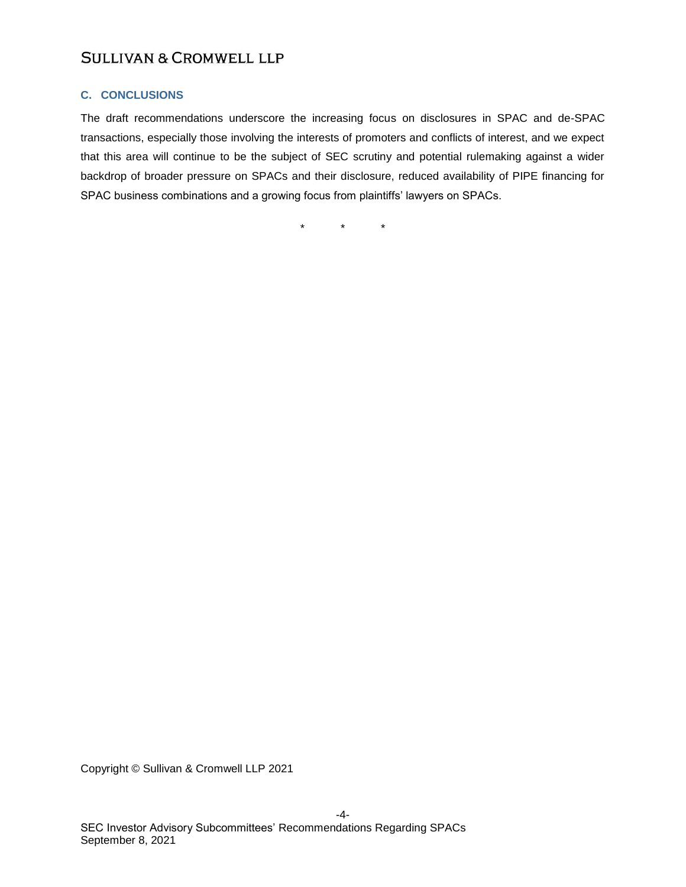## **C. CONCLUSIONS**

The draft recommendations underscore the increasing focus on disclosures in SPAC and de-SPAC transactions, especially those involving the interests of promoters and conflicts of interest, and we expect that this area will continue to be the subject of SEC scrutiny and potential rulemaking against a wider backdrop of broader pressure on SPACs and their disclosure, reduced availability of PIPE financing for SPAC business combinations and a growing focus from plaintiffs' lawyers on SPACs.

\* \* \*

Copyright © Sullivan & Cromwell LLP 2021